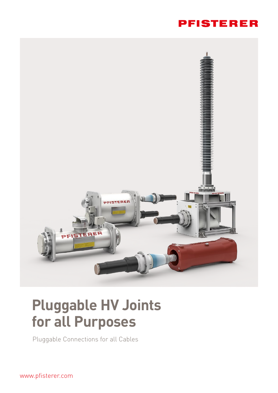## **PFISTERER**



## **Pluggable HV Joints for all Purposes**

Pluggable Connections for all Cables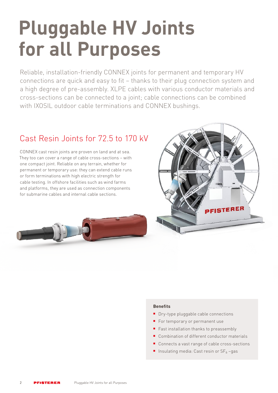# **Pluggable HV Joints for all Purposes**

Reliable, installation-friendly CONNEX joints for permanent and temporary HV connections are quick and easy to fit – thanks to their plug connection system and a high degree of pre-assembly. XLPE cables with various conductor materials and cross-sections can be connected to a joint; cable connections can be combined with IXOSIL outdoor cable terminations and CONNEX bushings.

## Cast Resin Joints for 72.5 to 170 kV

CONNEX cast resin joints are proven on land and at sea. They too can cover a range of cable cross-sections – with one compact joint. Reliable on any terrain, whether for permanent or temporary use: they can extend cable runs or form terminations with high electric strength for cable testing. In offshore facilities such as wind farms and platforms, they are used as connection components for submarine cables and internal cable sections.



#### **Benefits**

- **Dry-type pluggable cable connections**
- For temporary or permanent use
- Fast installation thanks to preassembly
- Combination of different conductor materials
- Connects a vast range of cable cross-sections
- Insulating media: Cast resin or  $SF_6$ -gas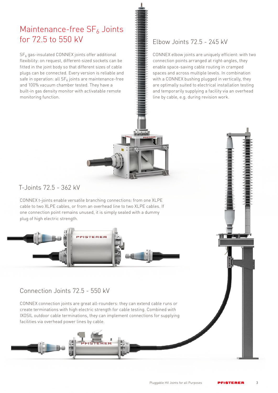## Maintenance-free  $SF<sub>6</sub>$  Joints for 72.5 to 550 kV

 $SF<sub>6</sub>$  gas-insulated CONNEX joints offer additional flexibility: on request, different-sized sockets can be fitted in the joint body so that different sizes of cable plugs can be connected. Every version is reliable and safe in operation: all  $SF_6$  joints are maintenance-free and 100% vacuum chamber tested. They have a built-in gas density monitor with activatable remote monitoring function.

## Elbow Joints 72.5 - 245 kV

CONNEX elbow joints are uniquely efficient: with two connection points arranged at right-angles, they enable space-saving cable routing in cramped spaces and across multiple levels. In combination with a CONNEX bushing plugged in vertically, they are optimally suited to electrical installation testing and temporarily supplying a facility via an overhead line by cable, e.g. during revision work.

## T-Joints 72.5 - 362 kV

CONNEX t-joints enable versatile branching connections: from one XLPE cable to two XLPE cables, or from an overhead line to two XLPE cables. If one connection point remains unused, it is simply sealed with a dummy plug of high electric strength.



#### Connection Joints 72.5 - 550 kV

CONNEX connection joints are great all-rounders: they can extend cable runs or create terminations with high electric strength for cable testing. Combined with IXOSIL outdoor cable terminations, they can implement connections for supplying facilities via overhead power lines by cable.

3